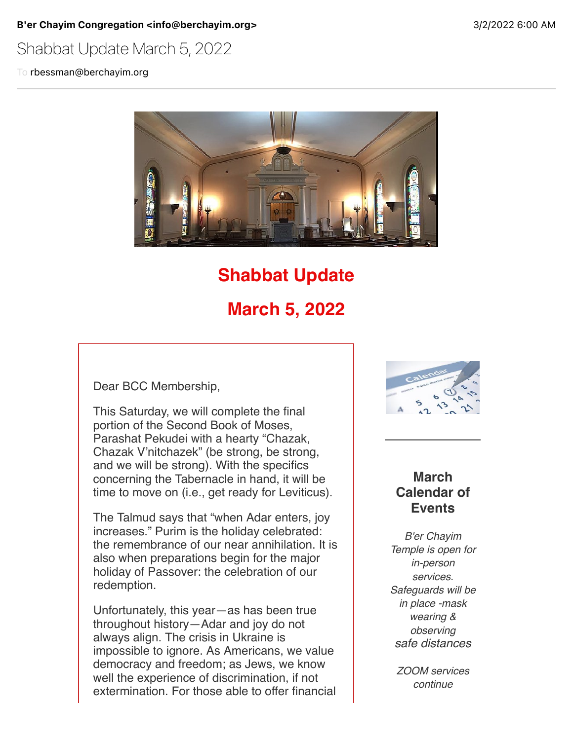B'er Chayim Congregation <info@berchayim.org> 3/2/2022 6:00 AM

# Shabbat Update March 5, 2022

To rbessman@berchayim.org



# **Shabbat Update**

# **March 5, 2022**

Dear BCC Membership,

This Saturday, we will complete the final portion of the Second Book of Moses, Parashat Pekudei with a hearty "Chazak, Chazak V'nitchazek" (be strong, be strong, and we will be strong). With the specifics concerning the Tabernacle in hand, it will be time to move on (i.e., get ready for Leviticus).

The Talmud says that "when Adar enters, joy increases." Purim is the holiday celebrated: the remembrance of our near annihilation. It is also when preparations begin for the major holiday of Passover: the celebration of our redemption.

Unfortunately, this year—as has been true throughout history—Adar and joy do not always align. The crisis in Ukraine is impossible to ignore. As Americans, we value democracy and freedom; as Jews, we know well the experience of discrimination, if not extermination. For those able to offer financial



### **March Calendar of Events**

*B'er Chayim Temple is open for in-person services. Safeguards will be in place -mask wearing & observing safe distances*

*ZOOM services continue*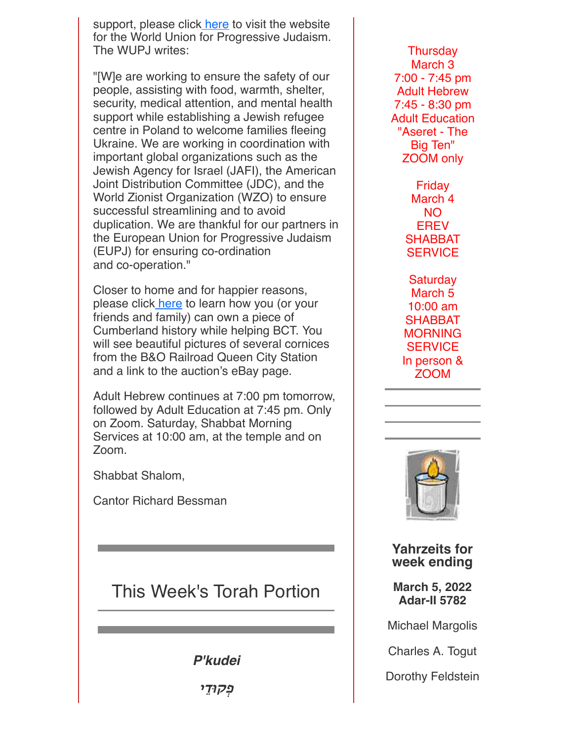support, please click [here](https://click.icptrack.com/icp/relay.php?r=119985007&msgid=899050&act=4970&c=592337&destination=https%3A%2F%2Fwupj.org%2Fgive%2Fukraine%2F&cf=5618&v=4dfda6efaa04bf91e6f0f54c85181bfef1ac27aeeeb2db0f51069a2734eea4c8) to visit the website for the World Union for Progressive Judaism. The WUPJ writes:

"[W]e are working to ensure the safety of our people, assisting with food, warmth, shelter, security, medical attention, and mental health support while establishing a Jewish refugee centre in Poland to welcome families fleeing Ukraine. We are working in coordination with important global organizations such as the Jewish Agency for Israel (JAFI), the American Joint Distribution Committee (JDC), and the World Zionist Organization (WZO) to ensure successful streamlining and to avoid duplication. We are thankful for our partners in the European Union for Progressive Judaism (EUPJ) for ensuring co-ordination and co-operation."

Closer to home and for happier reasons, please click [here](https://click.icptrack.com/icp/relay.php?r=119985007&msgid=899050&act=4970&c=592337&destination=https%3A%2F%2Fberchayim.org%2Fwp-content%2Fuploads%2Fsites%2F73%2F2022%2F02%2FQueen-City-Station-Cornice.pdf&cf=5618&v=3b9e8a361911b29802723a949921ba6ec15fa97de592ec0585533b59e33375e9) to learn how you (or your friends and family) can own a piece of Cumberland history while helping BCT. You will see beautiful pictures of several cornices from the B&O Railroad Queen City Station and a link to the auction's eBay page.

Adult Hebrew continues at 7:00 pm tomorrow, followed by Adult Education at 7:45 pm. Only on Zoom. Saturday, Shabbat Morning Services at 10:00 am, at the temple and on Zoom.

Shabbat Shalom,

Cantor Richard Bessman

# This Week's Torah Portion

*P'kudei*

פִקוּדֵי

**Thursday** March 3 7:00 - 7:45 pm Adult Hebrew 7:45 - 8:30 pm Adult Education "Aseret - The Big Ten" ZOOM only

> Friday March 4 NO **EREV SHABBAT SERVICE**

**Saturday** March 5 10:00 am SHABBAT **MORNING SERVICE** In person & ZOOM



**Yahrzeits for week ending**

**March 5, 2022 Adar-II 5782**

Michael Margolis

Charles A. Togut

Dorothy Feldstein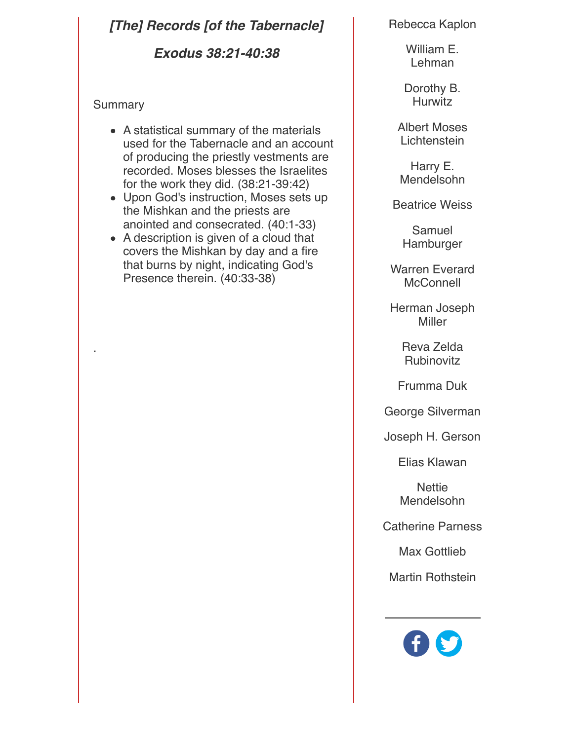## *[The] Records [of the Tabernacle]*

*Exodus 38:21-40:38*

#### **Summary**

- A statistical summary of the materials used for the Tabernacle and an account of producing the priestly vestments are recorded. Moses blesses the Israelites for the work they did. (38:21-39:42)
- Upon God's instruction, Moses sets up the Mishkan and the priests are anointed and consecrated. (40:1-33)
- A description is given of a cloud that covers the Mishkan by day and a fire that burns by night, indicating God's Presence therein. (40:33-38)

Rebecca Kaplon

William E. Lehman

Dorothy B. **Hurwitz** 

Albert Moses **Lichtenstein** 

Harry E. Mendelsohn

Beatrice Weiss

Samuel Hamburger

Warren Everard **McConnell** 

Herman Joseph Miller

> Reva Zelda **Rubinovitz**

Frumma Duk

George Silverman

Joseph H. Gerson

Elias Klawan

**Nettie** Mendelsohn

Catherine Parness

Max Gottlieb

Martin Rothstein

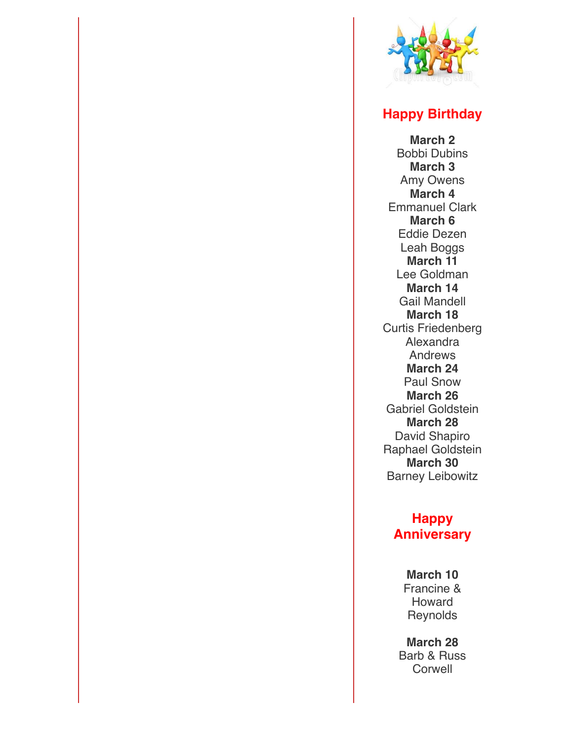

## **Happy Birthday**

**March 2** Bobbi Dubins **March 3** Amy Owens **March 4** Emmanuel Clark **March 6** Eddie Dezen Leah Boggs **March 11** Lee Goldman **March 14** Gail Mandell **March 18** Curtis Friedenberg Alexandra Andrews **March 24** Paul Snow **March 26** Gabriel Goldstein **March 28** David Shapiro Raphael Goldstein **March 30** Barney Leibowitz

## **Happy Anniversary**

**March 10** Francine & Howard **Reynolds** 

**March 28** Barb & Russ **Corwell**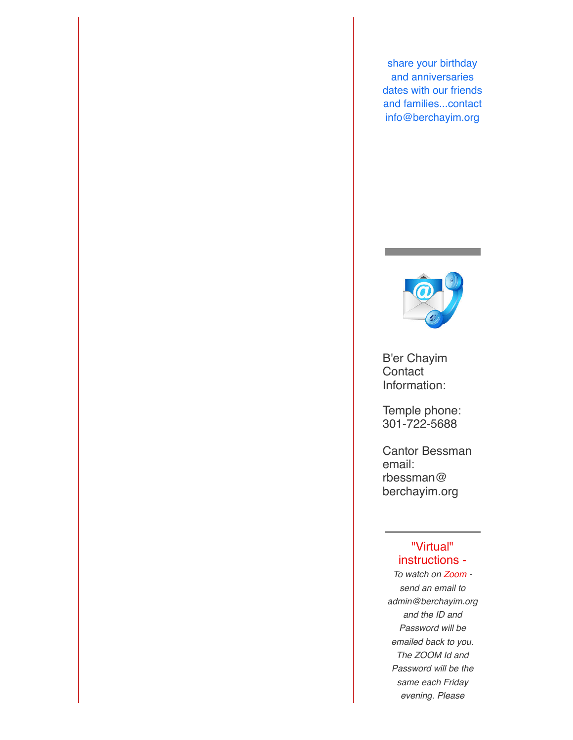share your birthday and anniversaries dates with our friends and families...contact info@berchayim.org



B'er Chayim **Contact** Information:

Temple phone: 301-722-5688

Cantor Bessman email: rbessman@ berchayim.org

#### "Virtual" instructions -

*To watch on Zoom send an email to admin@berchayim.org and the ID and Password will be emailed back to you. The ZOOM Id and Password will be the same each Friday evening. Please*